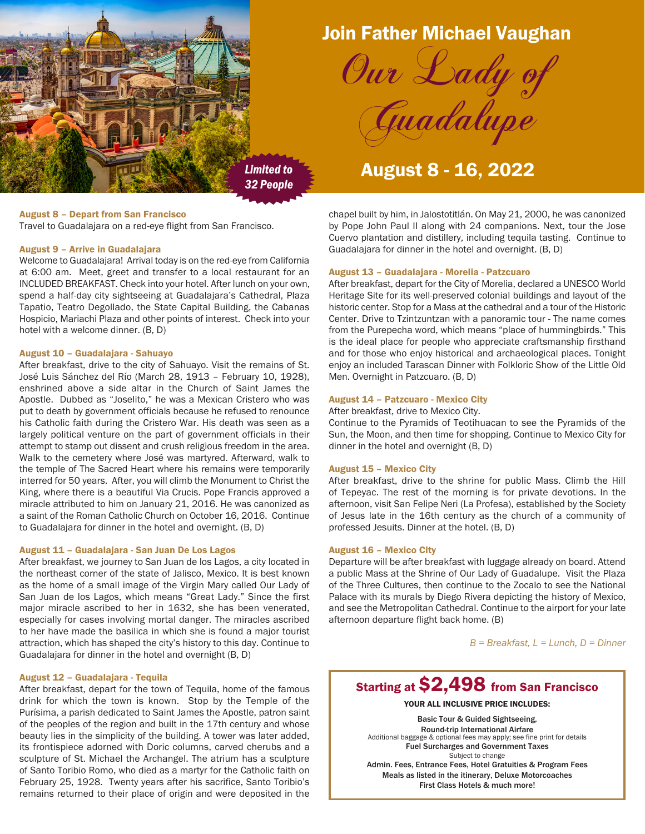

# Join Father Michael Vaughan

Our Lady

*Limited to 32 People*

# August 8 - 16, 2022

Guadalupe

# August 8 – Depart from San Francisco

Travel to Guadalajara on a red-eye flight from San Francisco.

# August 9 – Arrive in Guadalajara

Welcome to Guadalajara! Arrival today is on the red-eye from California at 6:00 am. Meet, greet and transfer to a local restaurant for an INCLUDED BREAKFAST. Check into your hotel. After lunch on your own, spend a half-day city sightseeing at Guadalajara's Cathedral, Plaza Tapatio, Teatro Degollado, the State Capital Building, the Cabanas Hospicio, Mariachi Plaza and other points of interest. Check into your hotel with a welcome dinner. (B, D)

# August 10 – Guadalajara - Sahuayo

After breakfast, drive to the city of Sahuayo. Visit the remains of St. José Luis Sánchez del Río (March 28, 1913 – February 10, 1928), enshrined above a side altar in the Church of Saint James the Apostle. Dubbed as "Joselito," he was a Mexican Cristero who was put to death by government officials because he refused to renounce his Catholic faith during the Cristero War. His death was seen as a largely political venture on the part of government officials in their attempt to stamp out dissent and crush religious freedom in the area. Walk to the cemetery where José was martyred. Afterward, walk to the temple of The Sacred Heart where his remains were temporarily interred for 50 years. After, you will climb the Monument to Christ the King, where there is a beautiful Via Crucis. Pope Francis approved a miracle attributed to him on January 21, 2016. He was canonized as a saint of the Roman Catholic Church on October 16, 2016. Continue to Guadalajara for dinner in the hotel and overnight. (B, D)

# August 11 – Guadalajara - San Juan De Los Lagos

After breakfast, we journey to San Juan de los Lagos, a city located in the northeast corner of the state of Jalisco, Mexico. It is best known as the home of a small image of the Virgin Mary called Our Lady of San Juan de los Lagos, which means "Great Lady." Since the first major miracle ascribed to her in 1632, she has been venerated, especially for cases involving mortal danger. The miracles ascribed to her have made the basilica in which she is found a major tourist attraction, which has shaped the city's history to this day. Continue to Guadalajara for dinner in the hotel and overnight (B, D)

# August 12 – Guadalajara - Tequila

After breakfast, depart for the town of Tequila, home of the famous drink for which the town is known. Stop by the Temple of the Purísima, a parish dedicated to Saint James the Apostle, patron saint of the peoples of the region and built in the 17th century and whose beauty lies in the simplicity of the building. A tower was later added, its frontispiece adorned with Doric columns, carved cherubs and a sculpture of St. Michael the Archangel. The atrium has a sculpture of Santo Toribio Romo, who died as a martyr for the Catholic faith on February 25, 1928. Twenty years after his sacrifice, Santo Toribio's remains returned to their place of origin and were deposited in the

chapel built by him, in Jalostotitlán. On May 21, 2000, he was canonized by Pope John Paul II along with 24 companions. Next, tour the Jose Cuervo plantation and distillery, including tequila tasting. Continue to Guadalajara for dinner in the hotel and overnight. (B, D)

# August 13 – Guadalajara - Morelia - Patzcuaro

After breakfast, depart for the City of Morelia, declared a UNESCO World Heritage Site for its well-preserved colonial buildings and layout of the historic center. Stop for a Mass at the cathedral and a tour of the Historic Center. Drive to Tzintzuntzan with a panoramic tour - The name comes from the Purepecha word, which means "place of hummingbirds." This is the ideal place for people who appreciate craftsmanship firsthand and for those who enjoy historical and archaeological places. Tonight enjoy an included Tarascan Dinner with Folkloric Show of the Little Old Men. Overnight in Patzcuaro. (B, D)

### August 14 – Patzcuaro - Mexico City

After breakfast, drive to Mexico City.

Continue to the Pyramids of Teotihuacan to see the Pyramids of the Sun, the Moon, and then time for shopping. Continue to Mexico City for dinner in the hotel and overnight (B, D)

### August 15 – Mexico City

After breakfast, drive to the shrine for public Mass. Climb the Hill of Tepeyac. The rest of the morning is for private devotions. In the afternoon, visit San Felipe Neri (La Profesa), established by the Society of Jesus late in the 16th century as the church of a community of professed Jesuits. Dinner at the hotel. (B, D)

# August 16 – Mexico City

Departure will be after breakfast with luggage already on board. Attend a public Mass at the Shrine of Our Lady of Guadalupe. Visit the Plaza of the Three Cultures, then continue to the Zocalo to see the National Palace with its murals by Diego Rivera depicting the history of Mexico, and see the Metropolitan Cathedral. Continue to the airport for your late afternoon departure flight back home. (B)

*B = Breakfast, L = Lunch, D = Dinner*